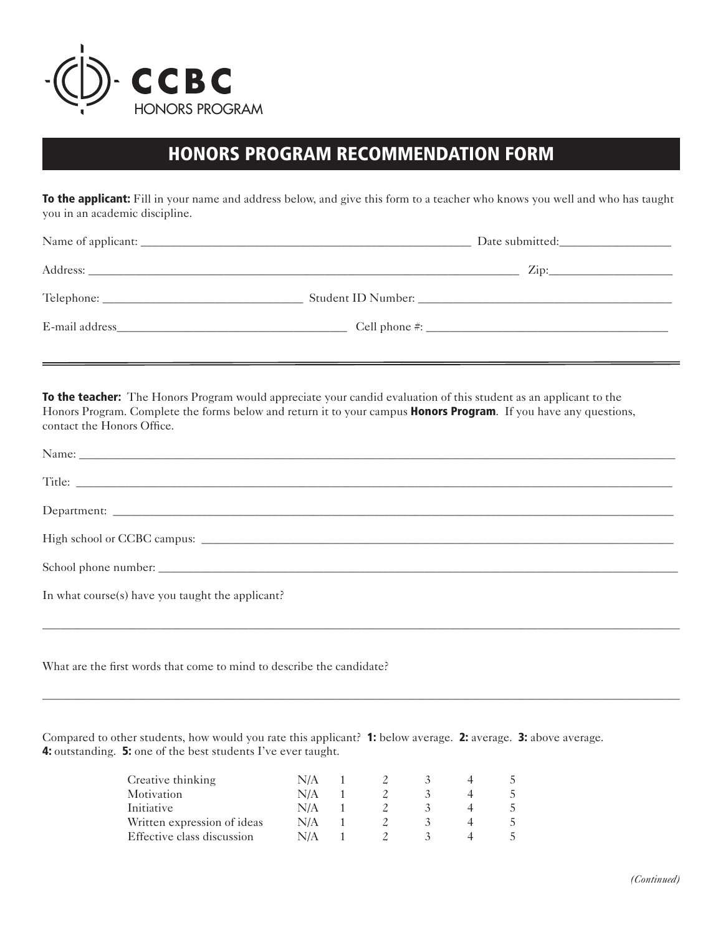

## HONORS PROGRAM RECOMMENDATION FORM

**To the applicant:** Fill in your name and address below, and give this form to a teacher who knows you well and who has taught you in an academic discipline.

| Address:                                                                                                                                                                                                                       | $\mathbf{Zip:}$ |
|--------------------------------------------------------------------------------------------------------------------------------------------------------------------------------------------------------------------------------|-----------------|
|                                                                                                                                                                                                                                |                 |
| E-mail address and the set of the set of the set of the set of the set of the set of the set of the set of the set of the set of the set of the set of the set of the set of the set of the set of the set of the set of the s |                 |

To the teacher: The Honors Program would appreciate your candid evaluation of this student as an applicant to the Honors Program. Complete the forms below and return it to your campus **Honors Program**. If you have any questions, contact the Honors Office.

| Name: Name: Name: Name: Name: Name: Name: Name: Name: Name: Name: Name: Name: Name: Name: Name: Name: Name: Name: Name: Name: Name: Name: Name: Name: Name: Name: Name: Name: Name: Name: Name: Name: Name: Name: Name: Name: |
|-------------------------------------------------------------------------------------------------------------------------------------------------------------------------------------------------------------------------------|
|                                                                                                                                                                                                                               |
|                                                                                                                                                                                                                               |
|                                                                                                                                                                                                                               |
|                                                                                                                                                                                                                               |
| In what course(s) have you taught the applicant?                                                                                                                                                                              |
|                                                                                                                                                                                                                               |

\_\_\_\_\_\_\_\_\_\_\_\_\_\_\_\_\_\_\_\_\_\_\_\_\_\_\_\_\_\_\_\_\_\_\_\_\_\_\_\_\_\_\_\_\_\_\_\_\_\_\_\_\_\_\_\_\_\_\_\_\_\_\_\_\_\_\_\_\_\_\_\_\_\_\_\_\_\_\_\_\_\_\_\_\_\_\_\_\_\_\_\_\_\_\_\_\_\_\_\_\_\_\_\_\_\_\_\_

What are the first words that come to mind to describe the candidate?

Compared to other students, how would you rate this applicant? 1: below average. 2: average. 3: above average. 4: outstanding. 5: one of the best students I've ever taught.

| Creative thinking           | N/A |  |  |  |
|-----------------------------|-----|--|--|--|
| Motivation                  | N/A |  |  |  |
| Initiative                  | N/A |  |  |  |
| Written expression of ideas | N/A |  |  |  |
| Effective class discussion  | N/A |  |  |  |